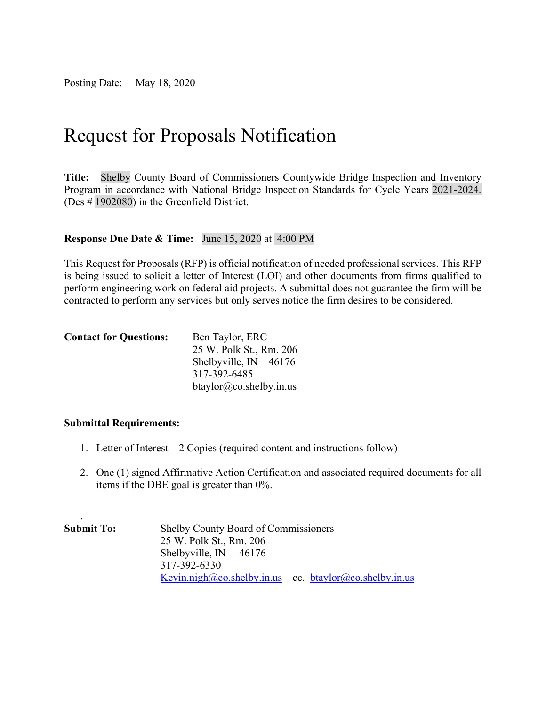Posting Date: May 18, 2020

# Request for Proposals Notification

**Title:** Shelby County Board of Commissioners Countywide Bridge Inspection and Inventory Program in accordance with National Bridge Inspection Standards for Cycle Years 2021-2024. (Des # 1902080) in the Greenfield District.

#### **Response Due Date & Time:** June 15, 2020 at 4:00 PM

This Request for Proposals (RFP) is official notification of needed professional services. This RFP is being issued to solicit a letter of Interest (LOI) and other documents from firms qualified to perform engineering work on federal aid projects. A submittal does not guarantee the firm will be contracted to perform any services but only serves notice the firm desires to be considered.

| <b>Contact for Questions:</b> | Ben Taylor, ERC            |  |  |
|-------------------------------|----------------------------|--|--|
|                               | 25 W. Polk St., Rm. 206    |  |  |
|                               | Shelbyville, $IN$ 46176    |  |  |
|                               | 317-392-6485               |  |  |
|                               | $b$ taylor@co.shelby.in.us |  |  |

#### **Submittal Requirements:**

.

- 1. Letter of Interest 2 Copies (required content and instructions follow)
- 2. One (1) signed Affirmative Action Certification and associated required documents for all items if the DBE goal is greater than 0%.

| <b>Submit To:</b> | <b>Shelby County Board of Commissioners</b>            |
|-------------------|--------------------------------------------------------|
|                   | 25 W. Polk St., Rm. 206                                |
|                   | Shelbyville, $IN$ 46176                                |
|                   | 317-392-6330                                           |
|                   | Kevin.nigh@co.shelby.in.us cc. btaylor@co.shelby.in.us |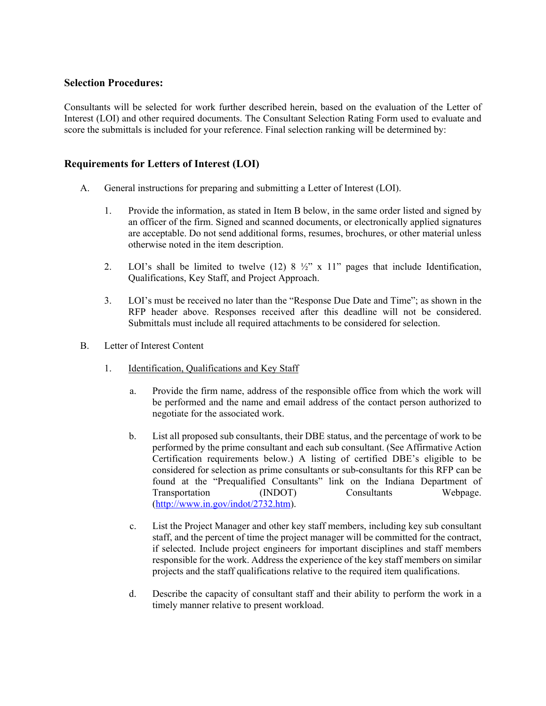#### **Selection Procedures:**

Consultants will be selected for work further described herein, based on the evaluation of the Letter of Interest (LOI) and other required documents. The Consultant Selection Rating Form used to evaluate and score the submittals is included for your reference. Final selection ranking will be determined by:

#### **Requirements for Letters of Interest (LOI)**

- A. General instructions for preparing and submitting a Letter of Interest (LOI).
	- 1. Provide the information, as stated in Item B below, in the same order listed and signed by an officer of the firm. Signed and scanned documents, or electronically applied signatures are acceptable. Do not send additional forms, resumes, brochures, or other material unless otherwise noted in the item description.
	- 2. LOI's shall be limited to twelve  $(12)$  8  $\frac{1}{2}$ " x 11" pages that include Identification, Qualifications, Key Staff, and Project Approach.
	- 3. LOI's must be received no later than the "Response Due Date and Time"; as shown in the RFP header above. Responses received after this deadline will not be considered. Submittals must include all required attachments to be considered for selection.
- B. Letter of Interest Content
	- 1. Identification, Qualifications and Key Staff
		- a. Provide the firm name, address of the responsible office from which the work will be performed and the name and email address of the contact person authorized to negotiate for the associated work.
		- b. List all proposed sub consultants, their DBE status, and the percentage of work to be performed by the prime consultant and each sub consultant. (See Affirmative Action Certification requirements below.) A listing of certified DBE's eligible to be considered for selection as prime consultants or sub-consultants for this RFP can be found at the "Prequalified Consultants" link on the Indiana Department of Transportation (INDOT) Consultants Webpage. [\(http://www.in.gov/indot/2732.htm\)](http://www.in.gov/indot/2732.htm).
		- c. List the Project Manager and other key staff members, including key sub consultant staff, and the percent of time the project manager will be committed for the contract, if selected. Include project engineers for important disciplines and staff members responsible for the work. Address the experience of the key staff members on similar projects and the staff qualifications relative to the required item qualifications.
		- d. Describe the capacity of consultant staff and their ability to perform the work in a timely manner relative to present workload.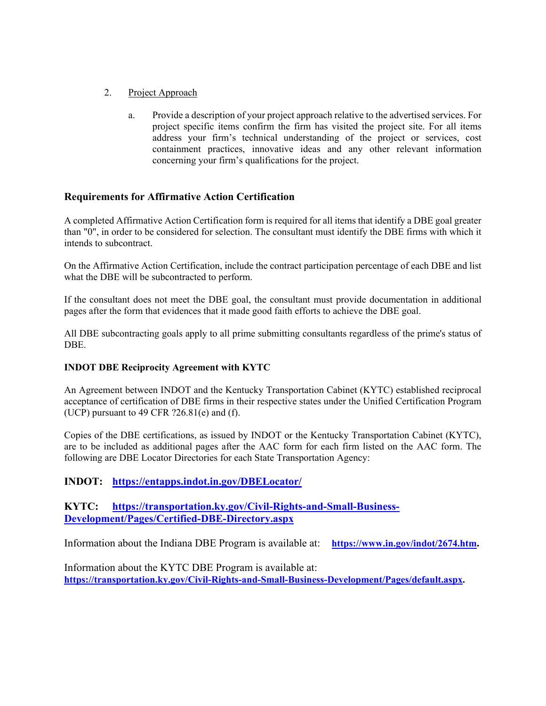#### 2. Project Approach

a. Provide a description of your project approach relative to the advertised services. For project specific items confirm the firm has visited the project site. For all items address your firm's technical understanding of the project or services, cost containment practices, innovative ideas and any other relevant information concerning your firm's qualifications for the project.

## **Requirements for Affirmative Action Certification**

A completed Affirmative Action Certification form is required for all items that identify a DBE goal greater than "0", in order to be considered for selection. The consultant must identify the DBE firms with which it intends to subcontract.

On the Affirmative Action Certification, include the contract participation percentage of each DBE and list what the DBE will be subcontracted to perform.

If the consultant does not meet the DBE goal, the consultant must provide documentation in additional pages after the form that evidences that it made good faith efforts to achieve the DBE goal.

All DBE subcontracting goals apply to all prime submitting consultants regardless of the prime's status of DBE.

#### **INDOT DBE Reciprocity Agreement with KYTC**

An Agreement between INDOT and the Kentucky Transportation Cabinet (KYTC) established reciprocal acceptance of certification of DBE firms in their respective states under the Unified Certification Program (UCP) pursuant to 49 CFR  $?26.81(e)$  and (f).

Copies of the DBE certifications, as issued by INDOT or the Kentucky Transportation Cabinet (KYTC), are to be included as additional pages after the AAC form for each firm listed on the AAC form. The following are DBE Locator Directories for each State Transportation Agency:

## **INDOT: <https://entapps.indot.in.gov/DBELocator/>**

### **KYTC: [https://transportation.ky.gov/Civil-Rights-and-Small-Business-](https://transportation.ky.gov/Civil-Rights-and-Small-Business-Development/Pages/Certified-DBE-Directory.aspx)[Development/Pages/Certified-DBE-Directory.aspx](https://transportation.ky.gov/Civil-Rights-and-Small-Business-Development/Pages/Certified-DBE-Directory.aspx)**

Information about the Indiana DBE Program is available at: **[https://www.in.gov/indot/2674.htm.](https://www.in.gov/indot/2674.htm)**

Information about the KYTC DBE Program is available at: **[https://transportation.ky.gov/Civil-Rights-and-Small-Business-Development/Pages/default.aspx.](https://transportation.ky.gov/Civil-Rights-and-Small-Business-Development/Pages/default.aspx)**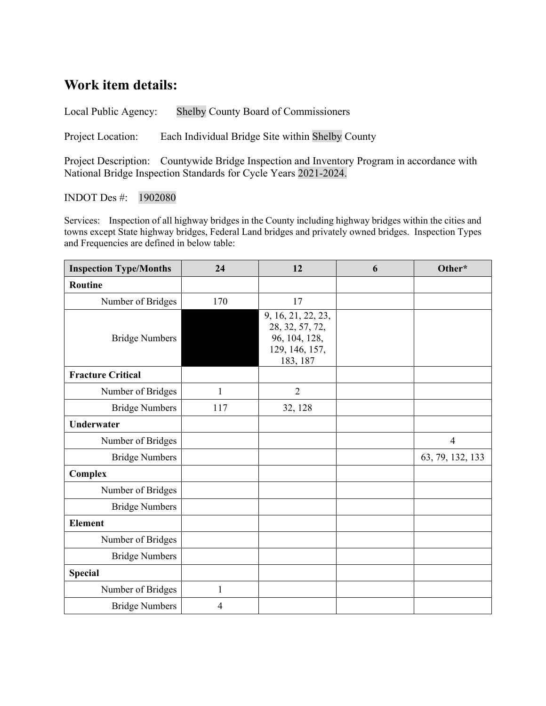## **Work item details:**

Local Public Agency: Shelby County Board of Commissioners

Project Location: Each Individual Bridge Site within Shelby County

Project Description: Countywide Bridge Inspection and Inventory Program in accordance with National Bridge Inspection Standards for Cycle Years 2021-2024.

INDOT Des #: 1902080

Services: Inspection of all highway bridges in the County including highway bridges within the cities and towns except State highway bridges, Federal Land bridges and privately owned bridges. Inspection Types and Frequencies are defined in below table:

| <b>Inspection Type/Months</b> | 24           | 12                                                                                   | 6 | Other*           |
|-------------------------------|--------------|--------------------------------------------------------------------------------------|---|------------------|
| Routine                       |              |                                                                                      |   |                  |
| Number of Bridges             | 170          | 17                                                                                   |   |                  |
| <b>Bridge Numbers</b>         |              | 9, 16, 21, 22, 23,<br>28, 32, 57, 72,<br>96, 104, 128,<br>129, 146, 157,<br>183, 187 |   |                  |
| <b>Fracture Critical</b>      |              |                                                                                      |   |                  |
| Number of Bridges             | $\mathbf{1}$ | $\overline{2}$                                                                       |   |                  |
| <b>Bridge Numbers</b>         | 117          | 32, 128                                                                              |   |                  |
| <b>Underwater</b>             |              |                                                                                      |   |                  |
| Number of Bridges             |              |                                                                                      |   | $\overline{4}$   |
| <b>Bridge Numbers</b>         |              |                                                                                      |   | 63, 79, 132, 133 |
| Complex                       |              |                                                                                      |   |                  |
| Number of Bridges             |              |                                                                                      |   |                  |
| <b>Bridge Numbers</b>         |              |                                                                                      |   |                  |
| <b>Element</b>                |              |                                                                                      |   |                  |
| Number of Bridges             |              |                                                                                      |   |                  |
| <b>Bridge Numbers</b>         |              |                                                                                      |   |                  |
| <b>Special</b>                |              |                                                                                      |   |                  |
| Number of Bridges             | 1            |                                                                                      |   |                  |
| <b>Bridge Numbers</b>         | 4            |                                                                                      |   |                  |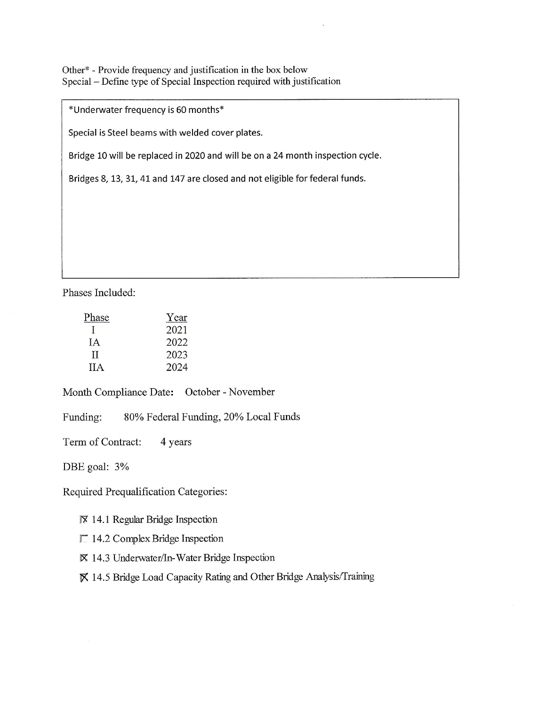Other\* - Provide frequency and justification in the box below Special - Define type of Special Inspection required with justification

\*Underwater frequency is 60 months\*

Special is Steel beams with welded cover plates.

Bridge 10 will be replaced in 2020 and will be on a 24 month inspection cycle.

Bridges 8, 13, 31, 41 and 147 are closed and not eligible for federal funds.

Phases Included:

| Phase      | Year |
|------------|------|
|            | 2021 |
| ĪА         | 2022 |
| TI         | 2023 |
| <b>IIA</b> | 2024 |

Month Compliance Date: October - November

Funding: 80% Federal Funding, 20% Local Funds

Term of Contract: 4 years

DBE goal: 3%

Required Prequalification Categories:

Ⅳ 14.1 Regular Bridge Inspection

 $\Box$  14.2 Complex Bridge Inspection

⊠ 14.3 Underwater/In-Water Bridge Inspection

■ 14.5 Bridge Load Capacity Rating and Other Bridge Analysis/Training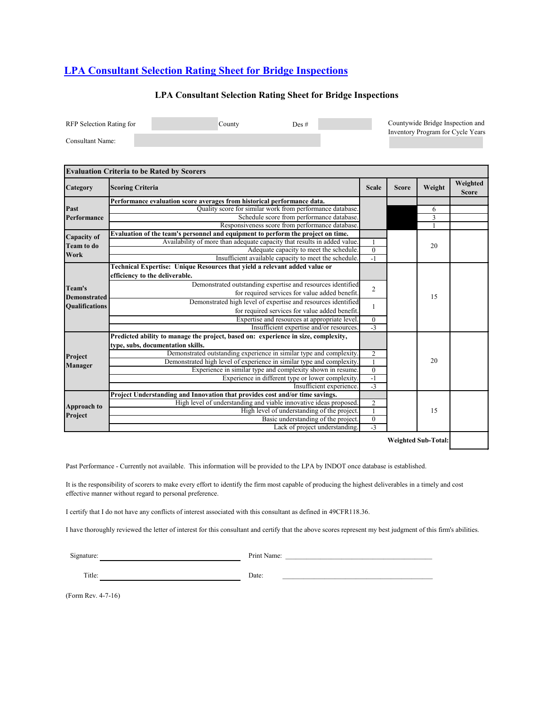## **[LPA Consultant Selection Rating Sheet for Bridge Inspections](http://www.in.gov/indot/files/LPA_Consultant_Selection_Rating_Sheet_for_Bridge_Inspections.xls)**

#### **LPA Consultant Selection Rating Sheet for Bridge Inspections**

| RFP Selection Rating for | Countv | Des # | Countywide Bridge Inspection and  |
|--------------------------|--------|-------|-----------------------------------|
| Consultant Name:         |        |       | Inventory Program for Cycle Years |

|                       | <b>Evaluation Criteria to be Rated by Scorers</b>                                  |                  |              |                            |                          |
|-----------------------|------------------------------------------------------------------------------------|------------------|--------------|----------------------------|--------------------------|
| Category              | <b>Scoring Criteria</b>                                                            | <b>Scale</b>     | <b>Score</b> | Weight                     | Weighted<br><b>Score</b> |
|                       | Performance evaluation score averages from historical performance data.            |                  |              |                            |                          |
| Past                  | Quality score for similar work from performance database.                          |                  |              | 6                          |                          |
| Performance           | Schedule score from performance database.                                          |                  |              | $\overline{\mathbf{3}}$    |                          |
|                       | Responsiveness score from performance database.                                    |                  |              |                            |                          |
| Capacity of           | Evaluation of the team's personnel and equipment to perform the project on time.   |                  |              |                            |                          |
| <b>Team to do</b>     | Availability of more than adequate capacity that results in added value.           |                  |              | 20                         |                          |
| Work                  | Adequate capacity to meet the schedule.                                            | $\boldsymbol{0}$ |              |                            |                          |
|                       | Insufficient available capacity to meet the schedule.                              | $-1$             |              |                            |                          |
|                       | Technical Expertise: Unique Resources that yield a relevant added value or         |                  |              |                            |                          |
|                       | efficiency to the deliverable.                                                     |                  |              |                            |                          |
|                       | Demonstrated outstanding expertise and resources identified                        |                  |              |                            |                          |
| Team's                | for required services for value added benefit.                                     | $\overline{2}$   |              | 15                         |                          |
| <b>Demonstrated</b>   | Demonstrated high level of expertise and resources identified                      |                  |              |                            |                          |
| <b>Qualifications</b> | for required services for value added benefit.                                     | 1                |              |                            |                          |
|                       | Expertise and resources at appropriate level.                                      | $\boldsymbol{0}$ |              |                            |                          |
|                       | Insufficient expertise and/or resources.                                           | $-3$             |              |                            |                          |
|                       | Predicted ability to manage the project, based on: experience in size, complexity, |                  |              |                            |                          |
|                       | type, subs, documentation skills.                                                  |                  |              |                            |                          |
|                       | Demonstrated outstanding experience in similar type and complexity.                | $\overline{2}$   |              |                            |                          |
| Project               | Demonstrated high level of experience in similar type and complexity.              | $\mathbf{1}$     |              | 20                         |                          |
| Manager               | Experience in similar type and complexity shown in resume.                         | $\overline{0}$   |              |                            |                          |
|                       | Experience in different type or lower complexity.                                  | $-1$             |              |                            |                          |
|                       | Insufficient experience.                                                           | $-3$             |              |                            |                          |
|                       | Project Understanding and Innovation that provides cost and/or time savings.       |                  |              |                            |                          |
|                       | High level of understanding and viable innovative ideas proposed.                  | $\overline{2}$   |              |                            |                          |
| Approach to           | High level of understanding of the project.                                        | $\overline{1}$   |              | 15                         |                          |
| Project               | Basic understanding of the project.                                                | $\boldsymbol{0}$ |              |                            |                          |
|                       | Lack of project understanding.                                                     | $-3$             |              |                            |                          |
|                       |                                                                                    |                  |              | <b>Weighted Sub-Total:</b> |                          |

Past Performance - Currently not available. This information will be provided to the LPA by INDOT once database is established.

It is the responsibility of scorers to make every effort to identify the firm most capable of producing the highest deliverables in a timely and cost effective manner without regard to personal preference.

I certify that I do not have any conflicts of interest associated with this consultant as defined in 49CFR118.36.

I have thoroughly reviewed the letter of interest for this consultant and certify that the above scores represent my best judgment of this firm's abilities.

Signature: Print Name: \_\_\_\_\_\_\_\_\_\_\_\_\_\_\_\_\_\_\_\_\_\_\_\_\_\_\_\_\_\_\_\_\_\_\_\_\_\_\_\_\_\_

Title: Date:

(Form Rev. 4-7-16)